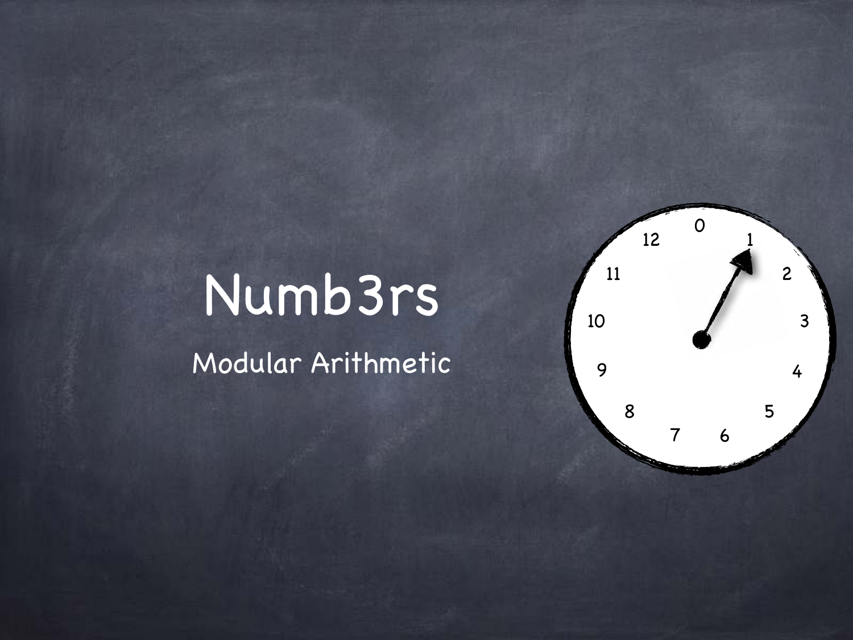

# Numb3rs

Modular Arithmetic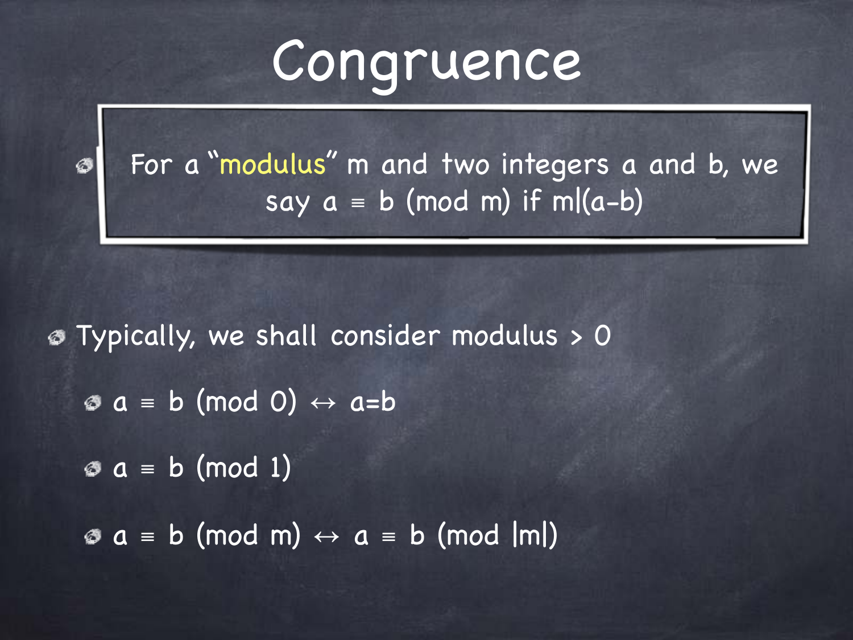## Congruence

For a "modulus" m and two integers a and b, we say  $a \equiv b \pmod{m}$  if m $(a-b)$ 

Typically, we shall consider modulus > 0  $\circ a = b \pmod{0} \leftrightarrow a = b$  $\text{a} = \text{b} \pmod{1}$  $\circ a \equiv b \pmod{m} \leftrightarrow a \equiv b \pmod{m}$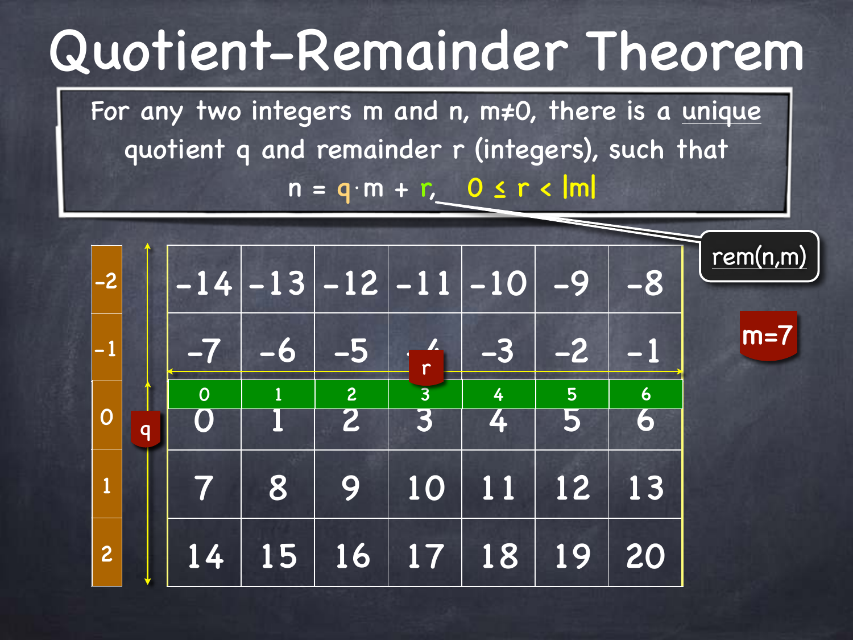# Quotient-Remainder Theorem

For any two integers m and n, m≠0, there is a unique quotient q and remainder r (integers), such that  $n = q \cdot m + r$ ,  $0 \le r < |m|$ 

| $ -2$          |                         |                              |      |                | $-14$ $-13$ $-12$ $-11$ $-10$ |           | $-9$ | $-8$           | rem(n,m) |
|----------------|-------------------------|------------------------------|------|----------------|-------------------------------|-----------|------|----------------|----------|
| $\vert$ -1     |                         | $\qquad \qquad \blacksquare$ | $-6$ | $-5$           | $\mathbf{L}$<br>$\mathsf{r}$  | $-3$      |      |                | $m=7$    |
| $\overline{O}$ | $\overline{\mathsf{q}}$ | $\overline{O}$               |      | $\overline{c}$ |                               | <b>AT</b> | 5    | $\overline{6}$ |          |
| $\mathbf{1}$   |                         |                              | 8    | 9              | 10                            | 11        | 12   | 13             |          |
| $\overline{c}$ |                         | 14                           | 15   |                | 16 17                         | 18        | 19   | 20             |          |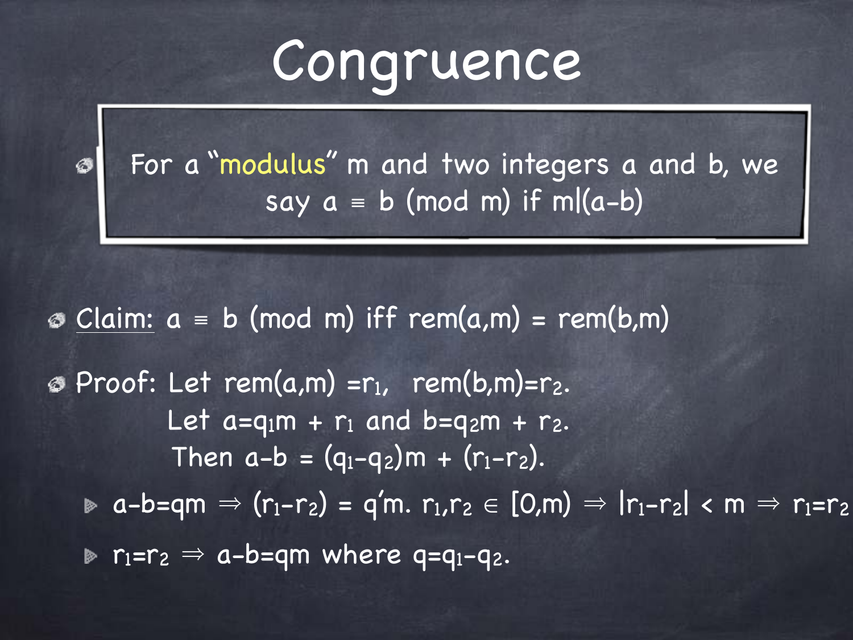## Congruence

For a "modulus" m and two integers a and b, we say  $a \equiv b \pmod{m}$  if m $(a-b)$ 

 $\odot$  Claim:  $a = b \pmod{m}$  iff rem(a,m) = rem(b,m)  $\circ$  Proof: Let rem(a,m) = r<sub>1</sub>, rem(b,m)= r<sub>2</sub>. Let  $a=q_1m + r_1$  and  $b=q_2m + r_2$ . Then  $a-b = (q_1-q_2)m + (r_1-r_2)$ .  $\triangleright$  a-b=qm  $\Rightarrow$  (r<sub>1</sub>-r<sub>2</sub>) = q'm. r<sub>1</sub>,r<sub>2</sub>  $\in$  [0,m)  $\Rightarrow$   $|r_1-r_2|$  < m  $\Rightarrow$  r<sub>1</sub>=r<sub>2</sub>  $\triangleright$  r<sub>1</sub>=r<sub>2</sub>  $\Rightarrow$  a-b=qm where q=q<sub>1</sub>-q<sub>2</sub>.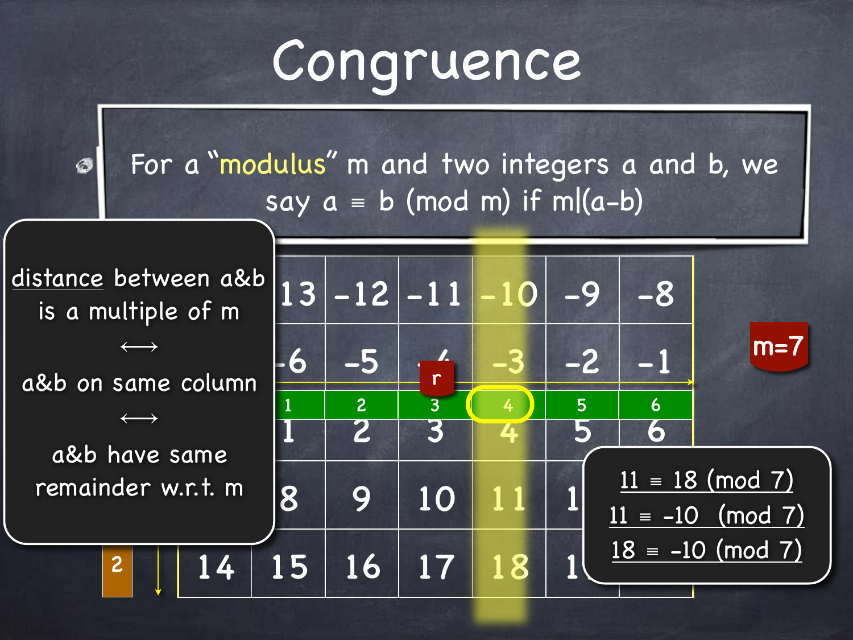# Congruence

For a "modulus" m and two integers a and b, we Ø say  $a \equiv b \pmod{m}$  if m $(a-b)$ 

 $-12$   $-11$   $-10$   $-9$   $-8$  $-5$   $-6$   $-5$   $-4$   $-3$   $-2$   $-1$ 1 2 3 4 5 6  $\begin{array}{|c|c|c|c|c|c|}\hline \text{7. m} & \text{8} & \text{9} & \text{10} & \text{11} & \text{1} & \text{1} & \text{1} & \text{1} & \text{1} & \text{1} & \text{1} & \text{1} & \text{1} & \text{1} & \text{1} & \text{1} & \text{1} & \text{1} & \text{1} & \text{1} & \text{1} & \text{1} & \text{1} & \text{1} & \text{1} & \text{1} & \text{1} & \text{1} & \text{1} & \text{1} & \text{1} & \text{$  $14$  | 15 | 16 | 17 | 18 | 1 1 2 3 4 5 6 r  $m=7$  $\overline{2}$ -1 0 1 remainder w.r.t. m2  $11 \equiv 18 \pmod{7}$  $11 = -10 \pmod{7}$  $18 = -10 \pmod{7}$ <u>distance</u> between a&b| is a multiple of m  $\longleftrightarrow$ a&b on same column  $\longleftrightarrow$ a&b have same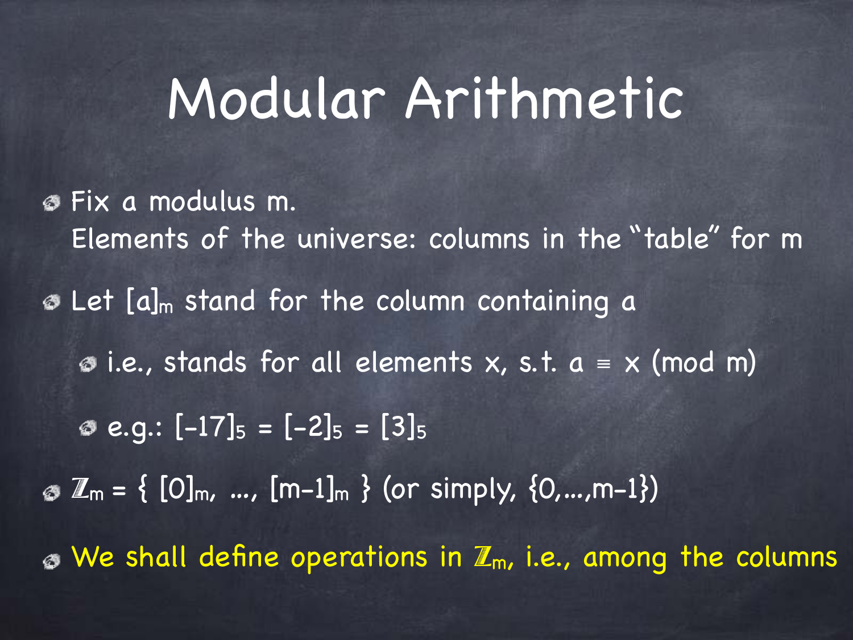## Modular Arithmetic

Fix a modulus m. Elements of the universe: columns in the "table" for m **B** Let [a]<sub>m</sub> stand for the column containing a  $\bullet$  i.e., stands for all elements x, s.t.  $a \equiv x \pmod{m}$  $e.q$ :  $[-17]_5 = [-2]_5 = [3]_5$  $\mathcal{L}_{\mathsf{m}} = \{ [0]_{\mathsf{m}}, \dots, [m-1]_{\mathsf{m}} \}$  (or simply,  $\{0, \dots, m-1\}$ )  $\bullet$  We shall define operations in  $\mathbb{Z}_m$ , i.e., among the columns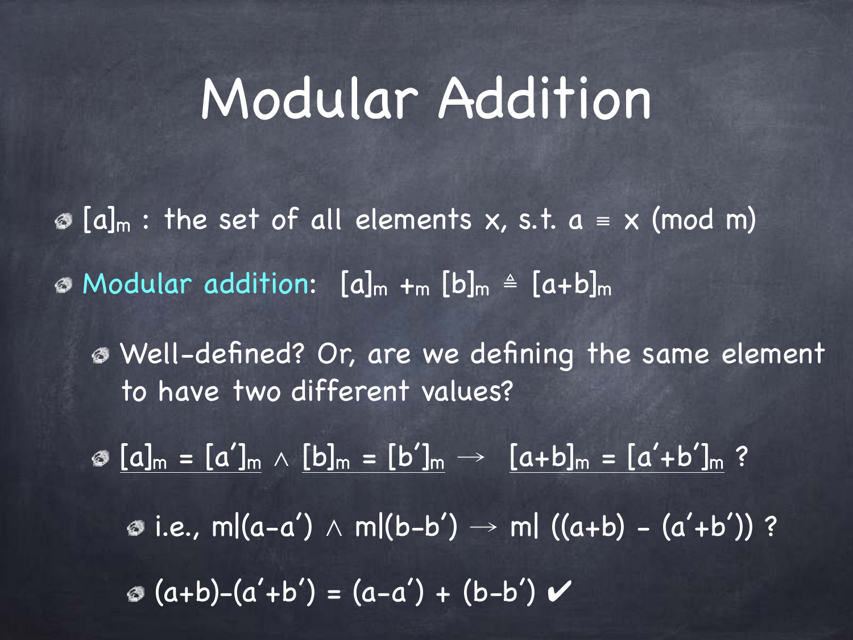### Modular Addition

 $\mathcal{O}[\mathbf{a}]_{\mathsf{m}}$  : the set of all elements x, s.t.  $\mathbf{a} = \mathsf{x}$  (mod m)  $\circ$  Modular addition:  $[a]_m +_m [b]_m \triangleq [a+b]_m$ 

Well-defined? Or, are we defining the same element to have two different values?

©  $[a]_m = [a']_m \wedge [b]_m = [b']_m \rightarrow [a+b]_m = [a'+b']_m$  ?  $\bullet$  i.e., m|(a-a') ∧ m|(b-b') → m| ((a+b) – (a'+b')) ?  $\otimes$  (a+b)-(a'+b') = (a-a') + (b-b')  $\vee$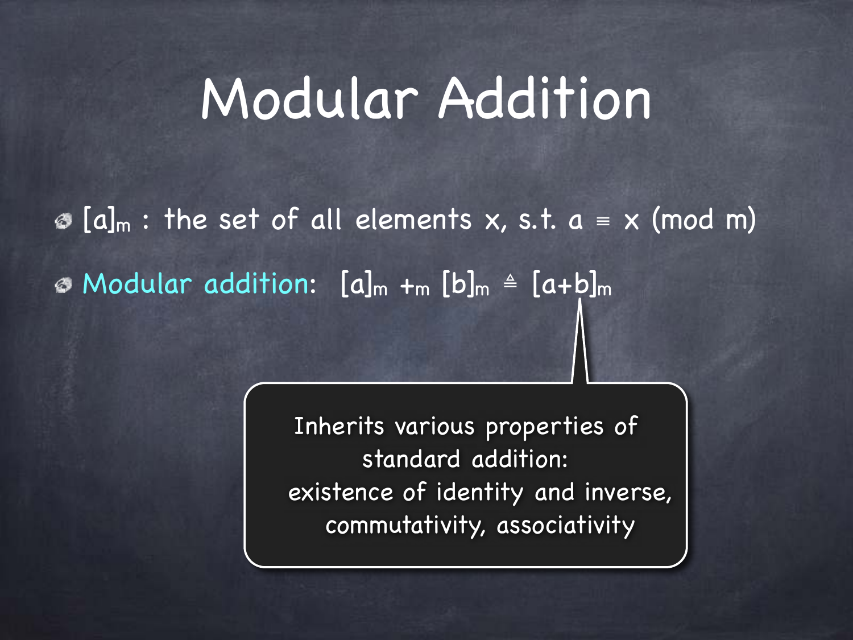## Modular Addition

 $\circledast$  [a]<sub>m</sub> : the set of all elements x, s.t. a = x (mod m)  $\circ$  Modular addition:  $[a]_m +_m [b]_m \triangleq [a+b]_m$ 

> Inherits various properties of standard addition: existence of identity and inverse, commutativity, associativity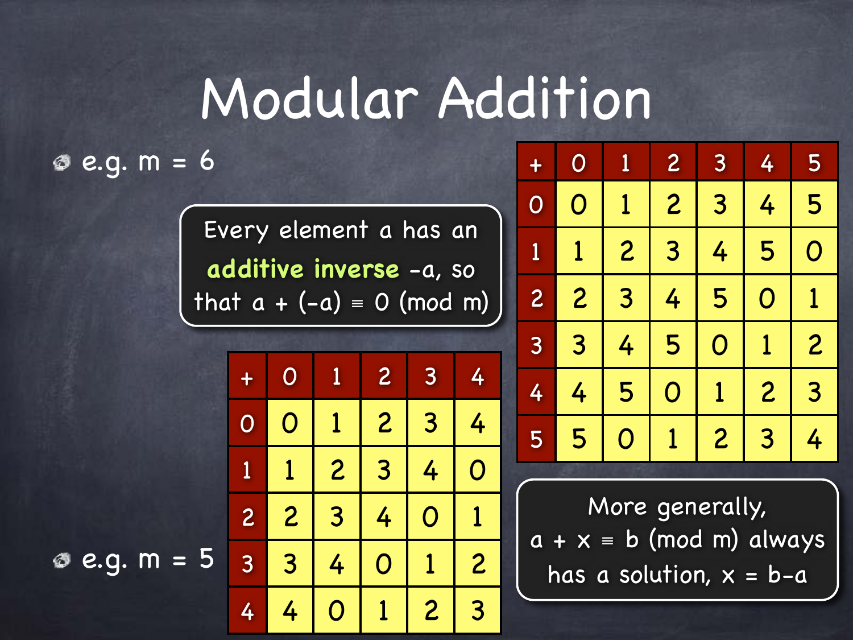## Modular Addition

#### $e.g. m = 6$

 $e.g. m = 5$ 

Every element a has an **additive inverse** -a, so that  $a + (-a) = 0$  (mod m)

| $\div$         | $\overline{O}$          | 1              | $\overline{2}$            | 3                       | 4              |
|----------------|-------------------------|----------------|---------------------------|-------------------------|----------------|
| $\overline{O}$ | $\overline{\textsf{O}}$ | 1              | $\overline{2}$            | 3                       | 4              |
| D              |                         | $\overline{2}$ | 3                         | 4                       | O              |
| $\overline{c}$ | $\overline{c}$          | 3              | 4                         | $\overline{\textsf{O}}$ | 1              |
| $\overline{3}$ | 3                       | 4              | $\boldsymbol{\mathsf{O}}$ | 1                       | $\overline{2}$ |
| 4              | 4                       | O              |                           | $\overline{c}$          | 3              |

| $+$            | $\overline{O}$ | $\overline{\mathbf{1}}$ | $\overline{c}$          | $\overline{3}$        | 4              | 5              |
|----------------|----------------|-------------------------|-------------------------|-----------------------|----------------|----------------|
| $\overline{O}$ | $\overline{O}$ | 1                       | $\overline{c}$          | 3                     | 4              | 5              |
| 1              | 1              | $\overline{c}$          | $\overline{3}$          | 4                     | 5              | $\overline{O}$ |
| $\overline{c}$ | $\overline{c}$ | 3                       | 4                       | 5                     | $\overline{O}$ | 1              |
| 3              | 3              | 4                       | 5                       | $\overline{\text{O}}$ | 1              | $\overline{c}$ |
| 4              | 4              | 5                       | $\overline{\textbf{O}}$ | $\overline{1}$        | $\overline{c}$ | $\overline{3}$ |
| 5              | 5              | $\boldsymbol{O}$        | 1                       | $\overline{c}$        | 3              | 4              |

More generally,  $a + x = b \pmod{m}$  always has a solution,  $x = b-a$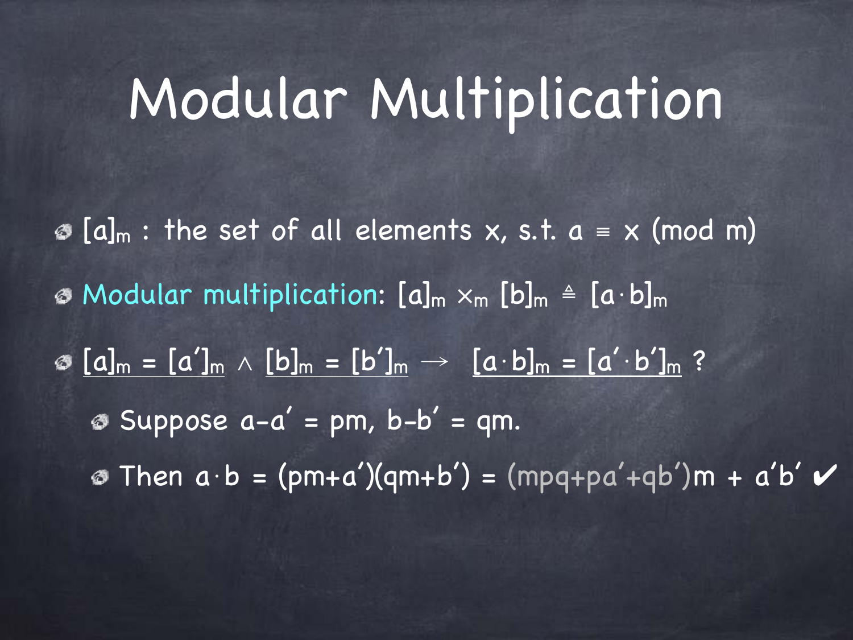#### Modular Multiplication

 $\mathcal{O}[\mathbf{a}]_{\mathsf{m}}$  : the set of all elements x, s.t.  $\mathbf{a} = \mathbf{x} \pmod{\mathsf{m}}$ Modular multiplication: [a]<sup>m</sup> ×m [b]<sup>m</sup> ≜ [a⋅b]<sup>m</sup>  $\circ$   $[a]_m = [a']_m \wedge [b]_m = [b']_m \rightarrow [a \cdot b]_m = [a' \cdot b']_m$  ?  $\circledast$  Suppose  $a-a' = pm$ ,  $b-b' = qm$ .  $\circ$  Then  $a \cdot b = (pm+a')(qm+b') = (mpq+pa'+qb')m + a'b' \vee$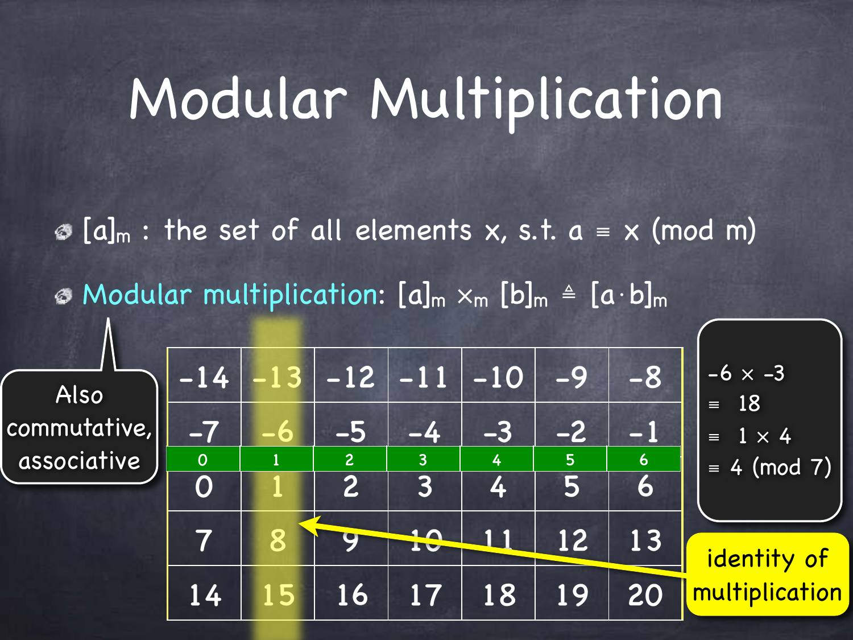### Modular Multiplication

 $\mathcal{O}[\mathbf{a}]_{\mathsf{m}}$  : the set of all elements x, s.t.  $\mathbf{a} = \mathbf{x} \pmod{\mathsf{m}}$ 

 $\odot$  Modular multiplication: [a]<sub>m</sub>  $x_m$  [b]<sub>m</sub>  $\triangleq$  [a·b]<sub>m</sub>

Also commutative, associative

| $-14$               |   | $-12$                            | $ -11 $             | $-10$  | $-9$ | $-8$      | $-6 \times -3$<br>18                 |
|---------------------|---|----------------------------------|---------------------|--------|------|-----------|--------------------------------------|
| $-7$                |   | $-5$                             | $-4$                | $-3$   |      | EV        | $\equiv$<br>$1 \times 4$<br>$\equiv$ |
| $\overline{O}$<br>O |   | $\overline{2}$<br>$\overline{2}$ | $\overline{3}$<br>3 | 4<br>4 | 5    | 6<br>6    | $\equiv 4 \pmod{7}$                  |
| 7                   | 8 |                                  |                     |        | 12   | 13        | identity of                          |
| 14                  |   | 16                               | 17 <sup>7</sup>     | 18     | 19   | <b>20</b> | multiplication                       |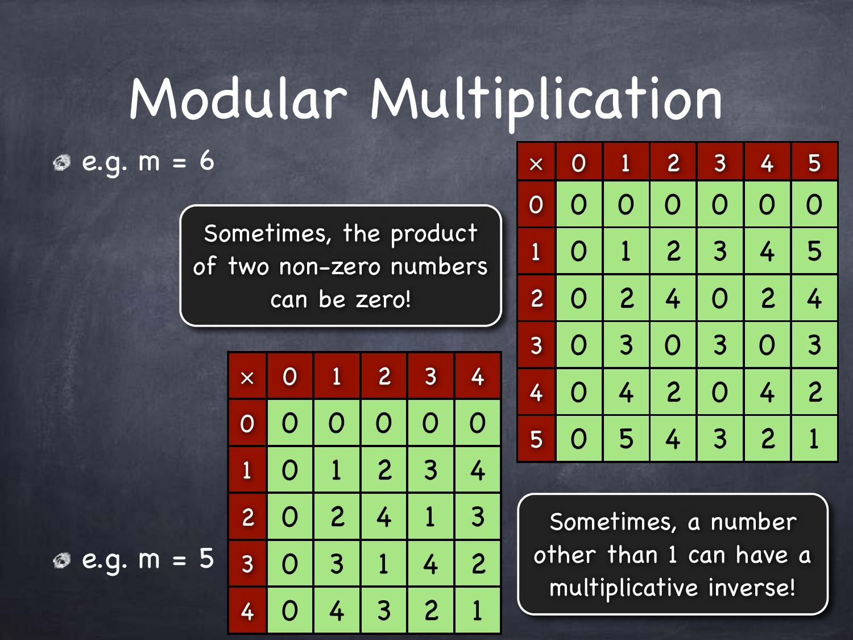# Modular Multiplication

 $e.g. m = 6$ 

Sometimes, the product of two non-zero numbers can be zero!

| $\times$                | $\overline{O}$ | 1              | $\overline{c}$ | 3                | 4              |
|-------------------------|----------------|----------------|----------------|------------------|----------------|
| $\mathsf O$             | O              | O              | O              | $\boldsymbol{O}$ | $\mathsf{O}$   |
| $\overline{\mathbf{1}}$ | O              |                | $\overline{2}$ | 3                | 4              |
| $\overline{c}$          | O              | $\overline{2}$ | 4              |                  | 3              |
| 3                       | O              | 3              | 1              | 4                | $\overline{2}$ |
| 4                       | $\mathbf 0$    | 4              | 3              | $\overline{2}$   |                |

| $\times$       | $\overline{O}$ | $\overline{1}$ | $\overline{c}$        | 3              | 4                | 5              |
|----------------|----------------|----------------|-----------------------|----------------|------------------|----------------|
| $\overline{O}$ | O              | O              | $\overline{\text{O}}$ | $\mathbf 0$    | O                | $\mathsf{O}$   |
| 1              | O              | 1              | $\overline{2}$        | 3              | 4                | 5              |
| $\overline{c}$ | $\mathsf{O}$   | $\overline{2}$ | 4                     | $\mathsf{O}$   | $\overline{2}$   | 4              |
| $\overline{3}$ | $\mathsf O$    | 3              | $\mathsf{O}$          | $\overline{3}$ | $\boldsymbol{O}$ | 3              |
| 4              | O              | 4              | $\overline{2}$        | O              | 4                | $\overline{2}$ |
| 5              | O              | 5              | 4                     | 3              | $\boldsymbol{2}$ |                |

Sometimes, a number other than 1 can have a multiplicative inverse!

 $e.g. m = 5$